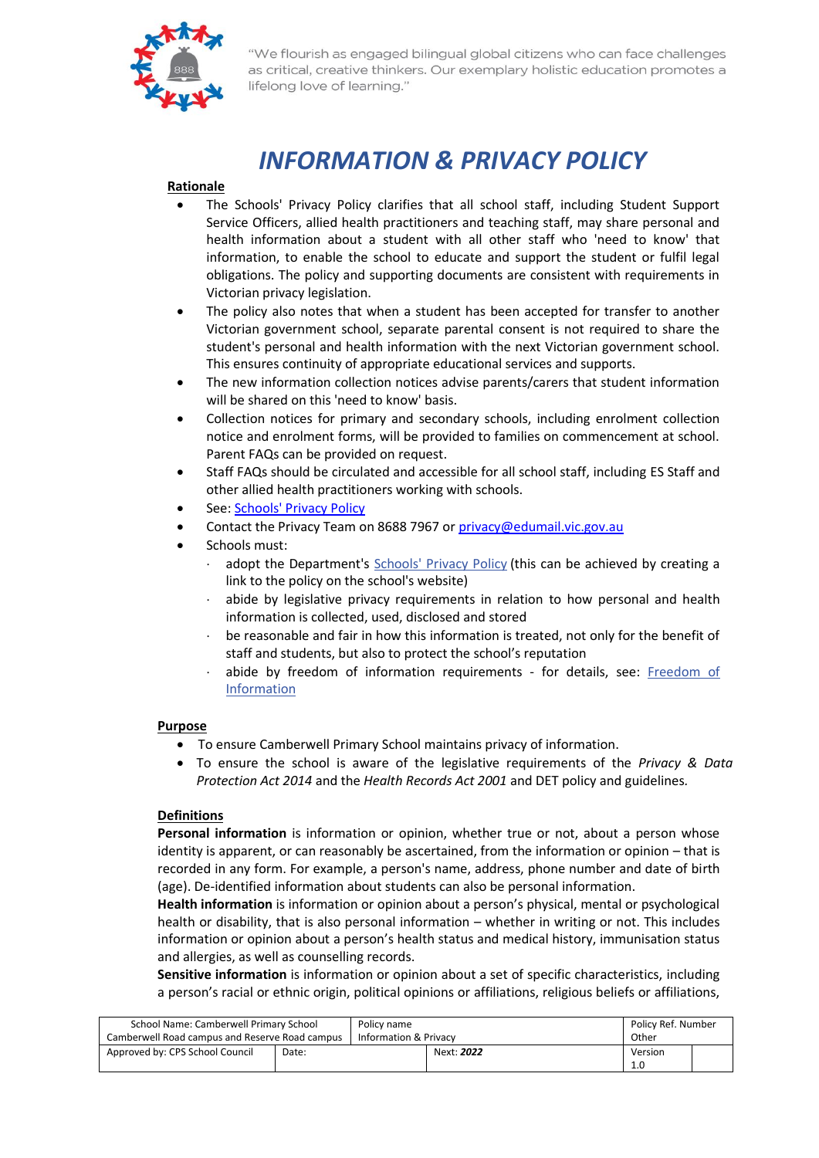

# *INFORMATION & PRIVACY POLICY*

# **Rationale**

- The Schools' Privacy Policy clarifies that all school staff, including Student Support Service Officers, allied health practitioners and teaching staff, may share personal and health information about a student with all other staff who 'need to know' that information, to enable the school to educate and support the student or fulfil legal obligations. The policy and supporting documents are consistent with requirements in Victorian privacy legislation.
- The policy also notes that when a student has been accepted for transfer to another Victorian government school, separate parental consent is not required to share the student's personal and health information with the next Victorian government school. This ensures continuity of appropriate educational services and supports.
- The new information collection notices advise parents/carers that student information will be shared on this 'need to know' basis.
- Collection notices for primary and secondary schools, including enrolment collection notice and enrolment forms, will be provided to families on commencement at school. Parent FAQs can be provided on request.
- Staff FAQs should be circulated and accessible for all school staff, including ES Staff and other allied health practitioners working with schools.
- See[: Schools' Privacy Policy](http://www.education.vic.gov.au/Pages/schoolsprivacypolicy.aspx)
- Contact the Privacy Team on 8688 7967 o[r privacy@edumail.vic.gov.au](mailto:privacy@edumail.vic.gov.au)
- Schools must:
	- adopt the Department's [Schools' Privacy Policy](http://www.education.vic.gov.au/Pages/schoolsprivacypolicy.aspx) (this can be achieved by creating a link to the policy on the school's website)
	- abide by legislative privacy requirements in relation to how personal and health information is collected, used, disclosed and stored
	- be reasonable and fair in how this information is treated, not only for the benefit of staff and students, but also to protect the school's reputation
	- abide by freedom of information requirements for details, see: Freedom of [Information](http://www.education.vic.gov.au/school/principals/spag/governance/Pages/foi.aspx)

# **Purpose**

- To ensure Camberwell Primary School maintains privacy of information.
- To ensure the school is aware of the legislative requirements of the *Privacy & Data Protection Act 2014* and the *Health Records Act 2001* and DET policy and guidelines*.*

# **Definitions**

**Personal information** is information or opinion, whether true or not, about a person whose identity is apparent, or can reasonably be ascertained, from the information or opinion – that is recorded in any form. For example, a person's name, address, phone number and date of birth (age). De-identified information about students can also be personal information.

**Health information** is information or opinion about a person's physical, mental or psychological health or disability, that is also personal information – whether in writing or not. This includes information or opinion about a person's health status and medical history, immunisation status and allergies, as well as counselling records.

**Sensitive information** is information or opinion about a set of specific characteristics, including a person's racial or ethnic origin, political opinions or affiliations, religious beliefs or affiliations,

| School Name: Camberwell Primary School         |       | Policy name           |            | Policy Ref. Number |         |  |
|------------------------------------------------|-------|-----------------------|------------|--------------------|---------|--|
| Camberwell Road campus and Reserve Road campus |       | Information & Privacy |            | Other              |         |  |
| Approved by: CPS School Council                | Date: |                       | Next: 2022 |                    | Version |  |
|                                                |       |                       |            |                    | 1.0     |  |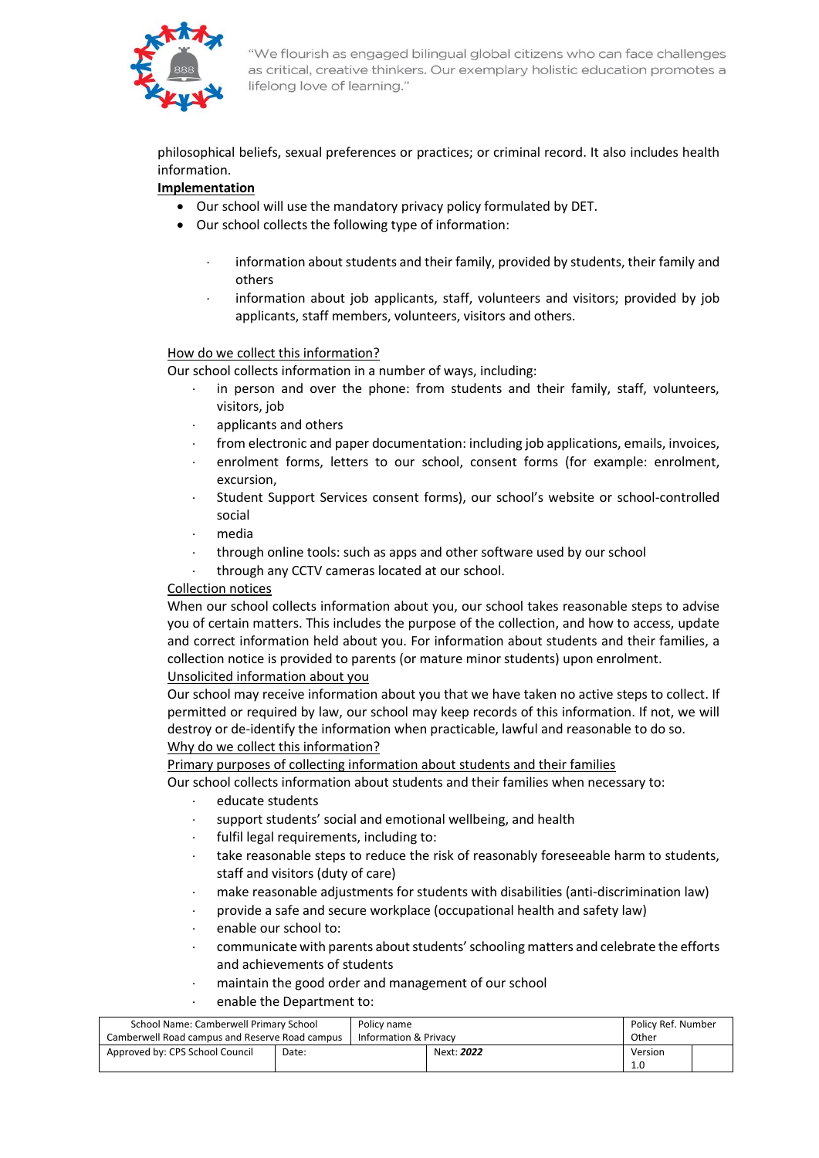

philosophical beliefs, sexual preferences or practices; or criminal record. It also includes health information.

# **Implementation**

- Our school will use the mandatory privacy policy formulated by DET.
- Our school collects the following type of information:
	- information about students and their family, provided by students, their family and others
	- information about job applicants, staff, volunteers and visitors; provided by job applicants, staff members, volunteers, visitors and others.

# How do we collect this information?

Our school collects information in a number of ways, including:

- in person and over the phone: from students and their family, staff, volunteers, visitors, job
- applicants and others
- from electronic and paper documentation: including job applications, emails, invoices,
- enrolment forms, letters to our school, consent forms (for example: enrolment, excursion,
- Student Support Services consent forms), our school's website or school-controlled social
- media
- through online tools: such as apps and other software used by our school
- through any CCTV cameras located at our school.

# Collection notices

When our school collects information about you, our school takes reasonable steps to advise you of certain matters. This includes the purpose of the collection, and how to access, update and correct information held about you. For information about students and their families, a collection notice is provided to parents (or mature minor students) upon enrolment.

#### Unsolicited information about you

Our school may receive information about you that we have taken no active steps to collect. If permitted or required by law, our school may keep records of this information. If not, we will destroy or de-identify the information when practicable, lawful and reasonable to do so. Why do we collect this information?

Primary purposes of collecting information about students and their families

Our school collects information about students and their families when necessary to:

- educate students
- support students' social and emotional wellbeing, and health
	- fulfil legal requirements, including to:
	- take reasonable steps to reduce the risk of reasonably foreseeable harm to students, staff and visitors (duty of care)
	- make reasonable adjustments for students with disabilities (anti-discrimination law)
	- provide a safe and secure workplace (occupational health and safety law)
	- enable our school to:
	- communicate with parents about students' schooling matters and celebrate the efforts and achievements of students
	- maintain the good order and management of our school
	- enable the Department to:

| School Name: Camberwell Primary School         |       | Policy name           |            | Policy Ref. Number |         |  |
|------------------------------------------------|-------|-----------------------|------------|--------------------|---------|--|
| Camberwell Road campus and Reserve Road campus |       | Information & Privacy |            | Other              |         |  |
| Approved by: CPS School Council                | Date: |                       | Next: 2022 |                    | Version |  |
|                                                |       |                       |            |                    |         |  |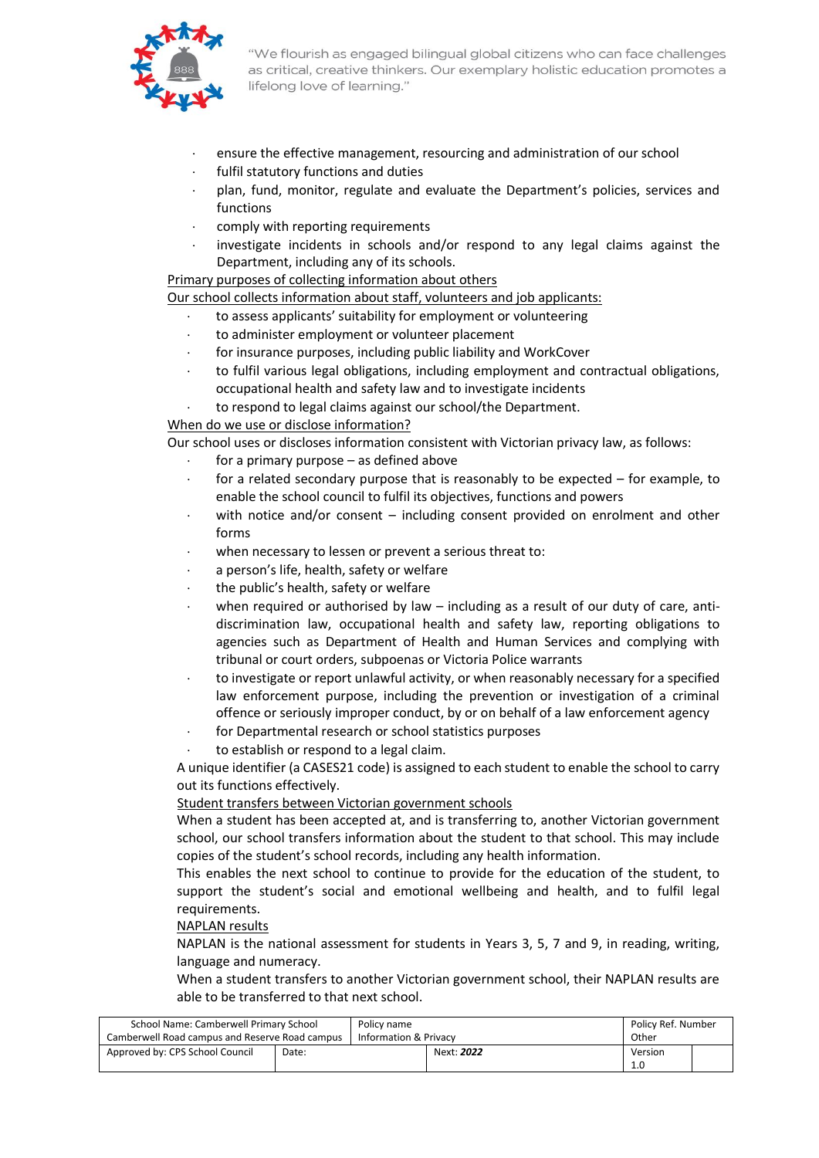

- ensure the effective management, resourcing and administration of our school
- fulfil statutory functions and duties
- plan, fund, monitor, regulate and evaluate the Department's policies, services and functions
- comply with reporting requirements
- investigate incidents in schools and/or respond to any legal claims against the Department, including any of its schools.

#### Primary purposes of collecting information about others

Our school collects information about staff, volunteers and job applicants:

- to assess applicants' suitability for employment or volunteering
- to administer employment or volunteer placement
- for insurance purposes, including public liability and WorkCover
- to fulfil various legal obligations, including employment and contractual obligations, occupational health and safety law and to investigate incidents
- to respond to legal claims against our school/the Department.

#### When do we use or disclose information?

Our school uses or discloses information consistent with Victorian privacy law, as follows:

- for a primary purpose as defined above
- for a related secondary purpose that is reasonably to be expected for example, to enable the school council to fulfil its objectives, functions and powers
- with notice and/or consent including consent provided on enrolment and other forms
- when necessary to lessen or prevent a serious threat to:
- a person's life, health, safety or welfare
- the public's health, safety or welfare
- when required or authorised by law including as a result of our duty of care, antidiscrimination law, occupational health and safety law, reporting obligations to agencies such as Department of Health and Human Services and complying with tribunal or court orders, subpoenas or Victoria Police warrants
- to investigate or report unlawful activity, or when reasonably necessary for a specified law enforcement purpose, including the prevention or investigation of a criminal offence or seriously improper conduct, by or on behalf of a law enforcement agency
- for Departmental research or school statistics purposes
- to establish or respond to a legal claim.

A unique identifier (a CASES21 code) is assigned to each student to enable the school to carry out its functions effectively.

#### Student transfers between Victorian government schools

When a student has been accepted at, and is transferring to, another Victorian government school, our school transfers information about the student to that school. This may include copies of the student's school records, including any health information.

This enables the next school to continue to provide for the education of the student, to support the student's social and emotional wellbeing and health, and to fulfil legal requirements.

#### NAPLAN results

NAPLAN is the national assessment for students in Years 3, 5, 7 and 9, in reading, writing, language and numeracy.

When a student transfers to another Victorian government school, their NAPLAN results are able to be transferred to that next school.

| School Name: Camberwell Primary School         |       | Policy name |                       | Policy Ref. Number |         |  |
|------------------------------------------------|-------|-------------|-----------------------|--------------------|---------|--|
| Camberwell Road campus and Reserve Road campus |       |             | Information & Privacy |                    | Other   |  |
| Approved by: CPS School Council                | Date: |             | Next: 2022            |                    | Version |  |
|                                                |       |             |                       |                    |         |  |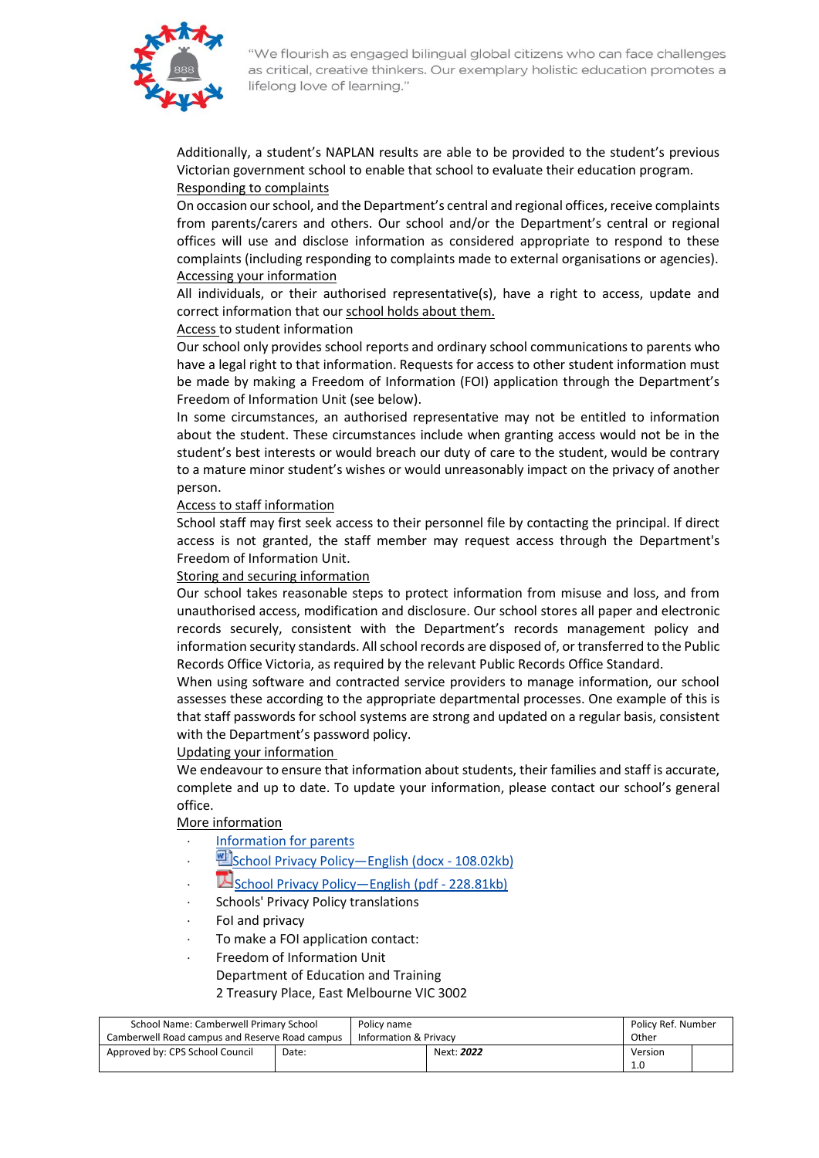

Additionally, a student's NAPLAN results are able to be provided to the student's previous Victorian government school to enable that school to evaluate their education program. Responding to complaints

On occasion our school, and the Department's central and regional offices, receive complaints from parents/carers and others. Our school and/or the Department's central or regional offices will use and disclose information as considered appropriate to respond to these complaints (including responding to complaints made to external organisations or agencies). Accessing your information

All individuals, or their authorised representative(s), have a right to access, update and correct information that our school holds about them.

# Access to student information

Our school only provides school reports and ordinary school communications to parents who have a legal right to that information. Requests for access to other student information must be made by making a Freedom of Information (FOI) application through the Department's Freedom of Information Unit (see below).

In some circumstances, an authorised representative may not be entitled to information about the student. These circumstances include when granting access would not be in the student's best interests or would breach our duty of care to the student, would be contrary to a mature minor student's wishes or would unreasonably impact on the privacy of another person.

#### Access to staff information

School staff may first seek access to their personnel file by contacting the principal. If direct access is not granted, the staff member may request access through the Department's Freedom of Information Unit.

#### Storing and securing information

Our school takes reasonable steps to protect information from misuse and loss, and from unauthorised access, modification and disclosure. Our school stores all paper and electronic records securely, consistent with the Department's records management policy and information security standards. All school records are disposed of, or transferred to the Public Records Office Victoria, as required by the relevant Public Records Office Standard.

When using software and contracted service providers to manage information, our school assesses these according to the appropriate departmental processes. One example of this is that staff passwords for school systems are strong and updated on a regular basis, consistent with the Department's password policy.

#### Updating your information

We endeavour to ensure that information about students, their families and staff is accurate, complete and up to date. To update your information, please contact our school's general office.

#### More information

- [Information for parents](http://www.education.vic.gov.au/Pages/Schools-Privacy-Policy-information-for-parents.aspx)
- [School Privacy Policy](http://www.education.vic.gov.au/Documents/SchoolsPrivacyPolicy-English.docx)—English (docx [108.02kb\)](http://www.education.vic.gov.au/Documents/SchoolsPrivacyPolicy-English.docx)
- [School Privacy Policy](http://www.education.vic.gov.au/Documents/SchoolsPrivacyPolicy-English.pdf)—English (pdf [228.81kb\)](http://www.education.vic.gov.au/Documents/SchoolsPrivacyPolicy-English.pdf)
- Schools' Privacy Policy translations
- FoI and privacy
- To make a FOI application contact:
- Freedom of Information Unit
	- Department of Education and Training
	- 2 Treasury Place, East Melbourne VIC 3002

| School Name: Camberwell Primary School         |       | Policy name |                       | Policy Ref. Number |         |  |
|------------------------------------------------|-------|-------------|-----------------------|--------------------|---------|--|
| Camberwell Road campus and Reserve Road campus |       |             | Information & Privacy |                    | Other   |  |
| Approved by: CPS School Council                | Date: |             | Next: 2022            |                    | Version |  |
|                                                |       |             |                       |                    | 1.0     |  |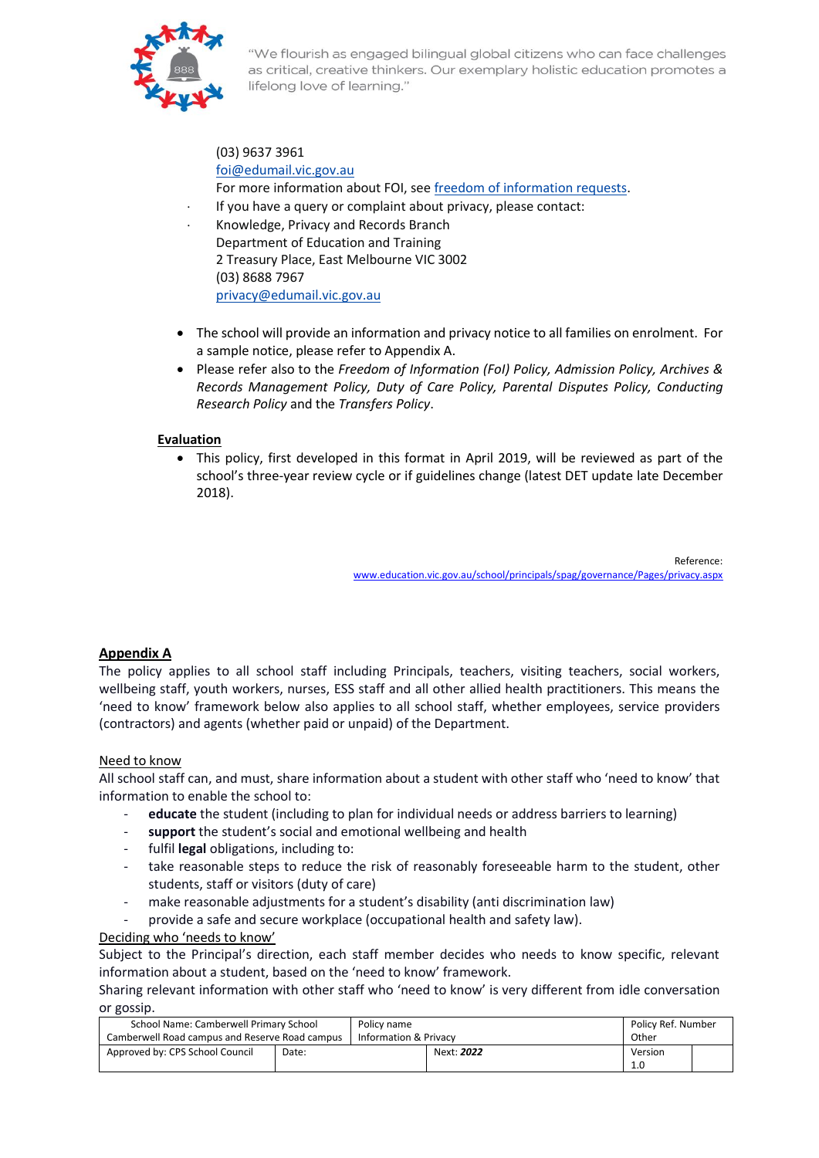

(03) 9637 3961 [foi@edumail.vic.gov.au](mailto:foi@edumail.vic.gov.au) For more information about FOI, se[e freedom of information requests.](http://www.education.vic.gov.au/about/working/Pages/foi.aspx)

 If you have a query or complaint about privacy, please contact: Knowledge, Privacy and Records Branch Department of Education and Training 2 Treasury Place, East Melbourne VIC 3002

(03) 8688 7967 [privacy@edumail.vic.gov.au](mailto:privacy@edumail.vic.gov.au)

- The school will provide an information and privacy notice to all families on enrolment. For a sample notice, please refer to Appendix A.
- Please refer also to the *Freedom of Information (FoI) Policy, Admission Policy, Archives & Records Management Policy, Duty of Care Policy, Parental Disputes Policy, Conducting Research Policy* and the *Transfers Policy*.

# **Evaluation**

• This policy, first developed in this format in April 2019, will be reviewed as part of the school's three-year review cycle or if guidelines change (latest DET update late December 2018).

> Reference: [www.education.vic.gov.au/school/principals/spag/governance/Pages/privacy.aspx](http://www.education.vic.gov.au/school/principals/spag/governance/Pages/privacy.aspx)

# **Appendix A**

The policy applies to all school staff including Principals, teachers, visiting teachers, social workers, wellbeing staff, youth workers, nurses, ESS staff and all other allied health practitioners. This means the 'need to know' framework below also applies to all school staff, whether employees, service providers (contractors) and agents (whether paid or unpaid) of the Department.

# Need to know

All school staff can, and must, share information about a student with other staff who 'need to know' that information to enable the school to:

- **educate** the student (including to plan for individual needs or address barriers to learning)
- support the student's social and emotional wellbeing and health
- fulfil **legal** obligations, including to:
- take reasonable steps to reduce the risk of reasonably foreseeable harm to the student, other students, staff or visitors (duty of care)
- make reasonable adjustments for a student's disability (anti discrimination law)
- provide a safe and secure workplace (occupational health and safety law).

# Deciding who 'needs to know'

Subject to the Principal's direction, each staff member decides who needs to know specific, relevant information about a student, based on the 'need to know' framework.

Sharing relevant information with other staff who 'need to know' is very different from idle conversation or gossip.

| School Name: Camberwell Primary School         |       | Policy name |                       | Policy Ref. Number |         |  |
|------------------------------------------------|-------|-------------|-----------------------|--------------------|---------|--|
| Camberwell Road campus and Reserve Road campus |       |             | Information & Privacy |                    | Other   |  |
| Approved by: CPS School Council                | Date: |             | Next: 2022            |                    | Version |  |
|                                                |       |             |                       |                    |         |  |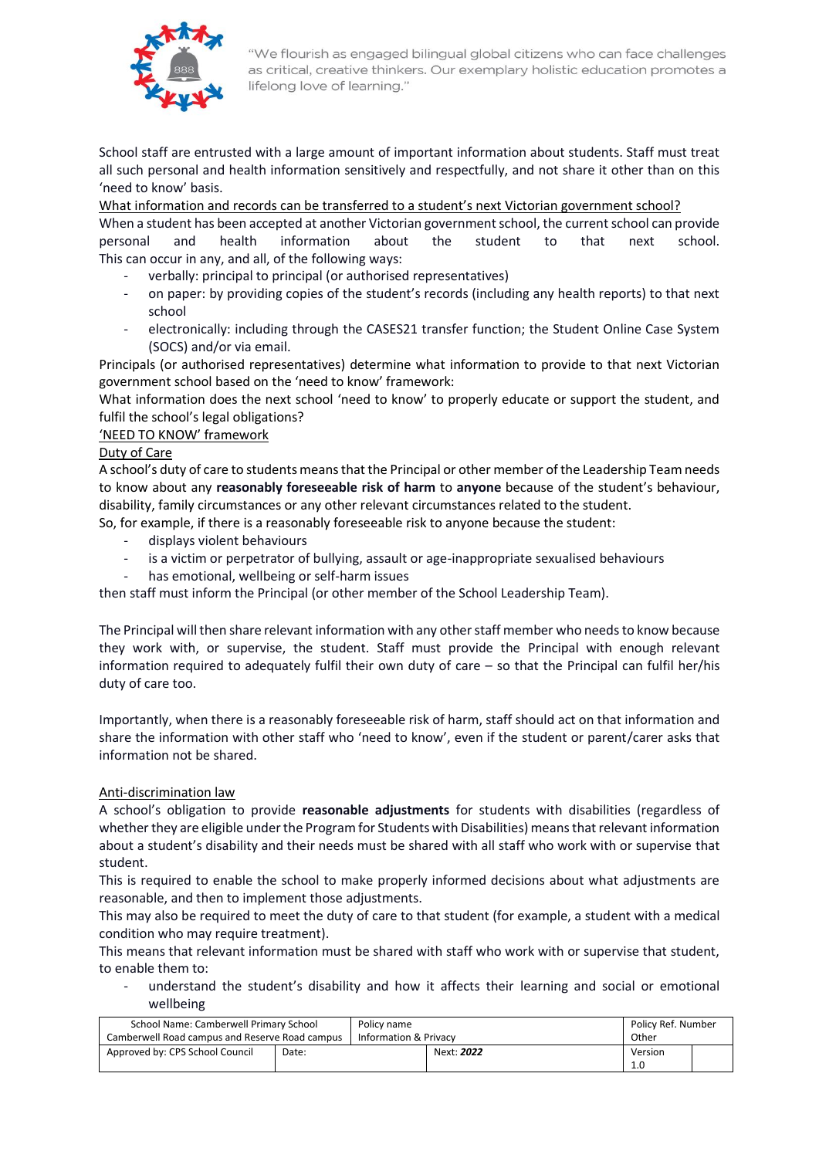

School staff are entrusted with a large amount of important information about students. Staff must treat all such personal and health information sensitively and respectfully, and not share it other than on this 'need to know' basis.

What information and records can be transferred to a student's next Victorian government school?

When a student has been accepted at another Victorian government school, the current school can provide personal and health information about the student to that next school. This can occur in any, and all, of the following ways:

- verbally: principal to principal (or authorised representatives)
- on paper: by providing copies of the student's records (including any health reports) to that next school
- electronically: including through the CASES21 transfer function; the Student Online Case System (SOCS) and/or via email.

Principals (or authorised representatives) determine what information to provide to that next Victorian government school based on the 'need to know' framework:

What information does the next school 'need to know' to properly educate or support the student, and fulfil the school's legal obligations?

# 'NEED TO KNOW' framework

#### Duty of Care

A school's duty of care to students means that the Principal or other member of the Leadership Team needs to know about any **reasonably foreseeable risk of harm** to **anyone** because of the student's behaviour, disability, family circumstances or any other relevant circumstances related to the student. So, for example, if there is a reasonably foreseeable risk to anyone because the student:

- displays violent behaviours
- is a victim or perpetrator of bullying, assault or age-inappropriate sexualised behaviours
- has emotional, wellbeing or self-harm issues

then staff must inform the Principal (or other member of the School Leadership Team).

The Principal will then share relevant information with any other staff member who needs to know because they work with, or supervise, the student. Staff must provide the Principal with enough relevant information required to adequately fulfil their own duty of care – so that the Principal can fulfil her/his duty of care too.

Importantly, when there is a reasonably foreseeable risk of harm, staff should act on that information and share the information with other staff who 'need to know', even if the student or parent/carer asks that information not be shared.

#### Anti-discrimination law

A school's obligation to provide **reasonable adjustments** for students with disabilities (regardless of whether they are eligible under the Program for Students with Disabilities) means that relevant information about a student's disability and their needs must be shared with all staff who work with or supervise that student.

This is required to enable the school to make properly informed decisions about what adjustments are reasonable, and then to implement those adjustments.

This may also be required to meet the duty of care to that student (for example, a student with a medical condition who may require treatment).

This means that relevant information must be shared with staff who work with or supervise that student, to enable them to:

understand the student's disability and how it affects their learning and social or emotional wellbeing

| School Name: Camberwell Primary School         |       | Policy name |                       | Policy Ref. Number |         |  |
|------------------------------------------------|-------|-------------|-----------------------|--------------------|---------|--|
| Camberwell Road campus and Reserve Road campus |       |             | Information & Privacy |                    | Other   |  |
| Approved by: CPS School Council                | Date: |             | Next: 2022            |                    | Version |  |
|                                                |       |             |                       |                    | 1.0     |  |